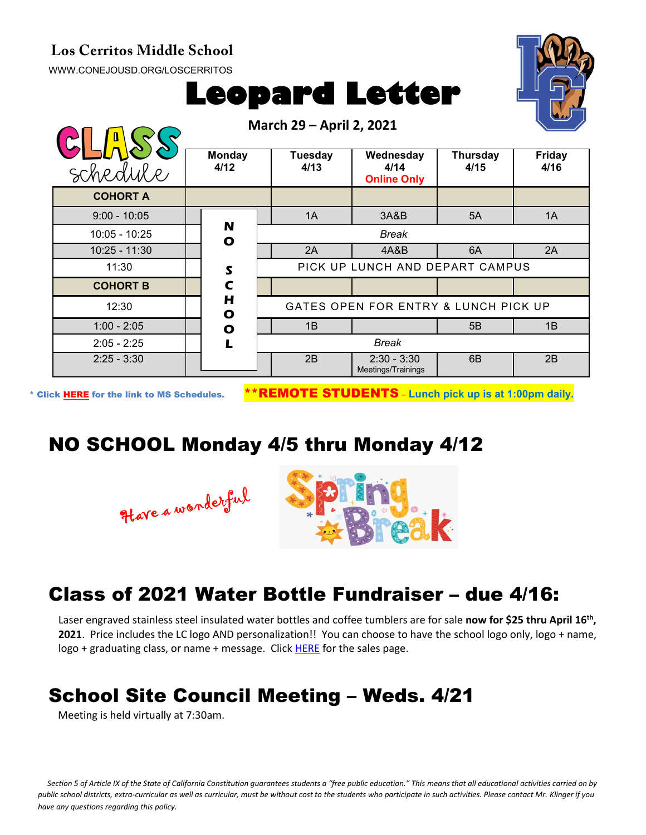#### **Los Cerritos Middle School**

[WWW.CONEJOUSD.ORG/LOSCERRITOS](http://www.conejousd.org/LOSCERRITOS)



# **Leopard Letter**

**March 29 – April 2, 2021**

|                 | March 29 – Aprii 2, 2021    |                                      |                                         |                  |                |
|-----------------|-----------------------------|--------------------------------------|-----------------------------------------|------------------|----------------|
| schedule        | <b>Monday</b><br>4/12       | Tuesday<br>4/13                      | Wednesday<br>4/14<br><b>Online Only</b> | Thursday<br>4/15 | Friday<br>4/16 |
| <b>COHORT A</b> |                             |                                      |                                         |                  |                |
| $9:00 - 10:05$  |                             | 1A                                   | 3A&B                                    | 5A               | 1A             |
| $10:05 - 10:25$ | N<br>$\mathbf{o}$           |                                      | <b>Break</b>                            |                  |                |
| $10:25 - 11:30$ |                             | 2A                                   | 4A&B                                    | 6A               | 2A             |
| 11:30           | S                           | PICK UP LUNCH AND DEPART CAMPUS      |                                         |                  |                |
| <b>COHORT B</b> | $\mathbf c$                 |                                      |                                         |                  |                |
| 12:30           | $\mathbf H$<br>$\mathbf{o}$ | GATES OPEN FOR ENTRY & LUNCH PICK UP |                                         |                  |                |
| $1:00 - 2:05$   | $\bullet$                   | 1B                                   |                                         | 5B               | 1B             |
| $2:05 - 2:25$   | L                           | <b>Break</b>                         |                                         |                  |                |
| $2:25 - 3:30$   |                             | 2B                                   | $2:30 - 3:30$<br>Meetings/Trainings     | 6B               | 2B             |

\* Click [HERE](https://www.conejousd.org/Portals/0/Middle%20School%20Monthly%20Calendar%20_FNLl.pdf?ver=2020-11-04-105638-860) for the link to MS Schedules. \*\*REMOTE STUDENTS – **Lunch pick up is at 1:00pm daily.**

#### NO SCHOOL Monday 4/5 thru Monday 4/12





### Class of 2021 Water Bottle Fundraiser – due 4/16:

Laser engraved stainless steel insulated water bottles and coffee tumblers are for sale now for \$25 thru April 16<sup>th</sup>, **2021**. Price includes the LC logo AND personalization!! You can choose to have the school logo only, logo + name, logo + graduating class, or name + message. Clic[k HERE](https://www.studentbottles.com/loscerritosmiddleschoolthousandoaks/) for the sales page.

## School Site Council Meeting – Weds. 4/21

Meeting is held virtually at 7:30am.

*Section 5 of Article IX of the State of California Constitution guarantees students a "free public education." This means that all educational activities carried on by public school districts, extra-curricular as well as curricular, must be without cost to the students who participate in such activities. Please contact Mr. Klinger if you have any questions regarding this policy.*